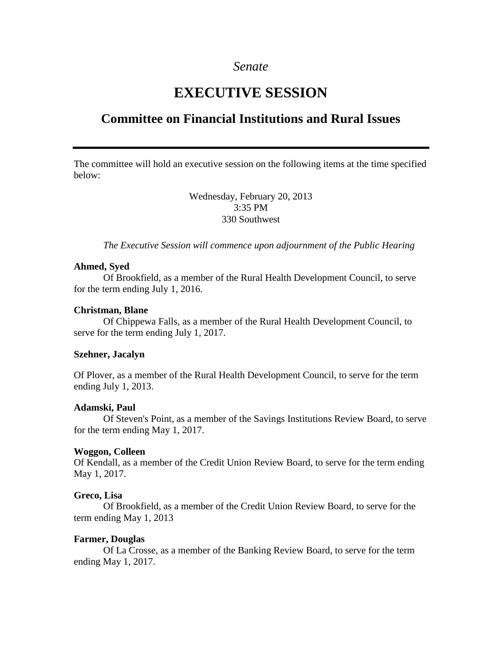### *Senate*

# **EXECUTIVE SESSION**

# **Committee on Financial Institutions and Rural Issues**

The committee will hold an executive session on the following items at the time specified below:

> Wednesday, February 20, 2013 3:35 PM 330 Southwest

*The Executive Session will commence upon adjournment of the Public Hearing*

#### **Ahmed, Syed**

Of Brookfield, as a member of the Rural Health Development Council, to serve for the term ending July 1, 2016.

#### **Christman, Blane**

Of Chippewa Falls, as a member of the Rural Health Development Council, to serve for the term ending July 1, 2017.

#### **Szehner, Jacalyn**

Of Plover, as a member of the Rural Health Development Council, to serve for the term ending July 1, 2013.

#### **Adamski, Paul**

Of Steven's Point, as a member of the Savings Institutions Review Board, to serve for the term ending May 1, 2017.

#### **Woggon, Colleen**

Of Kendall, as a member of the Credit Union Review Board, to serve for the term ending May 1, 2017.

#### **Greco, Lisa**

Of Brookfield, as a member of the Credit Union Review Board, to serve for the term ending May 1, 2013

#### **Farmer, Douglas**

Of La Crosse, as a member of the Banking Review Board, to serve for the term ending May 1, 2017.